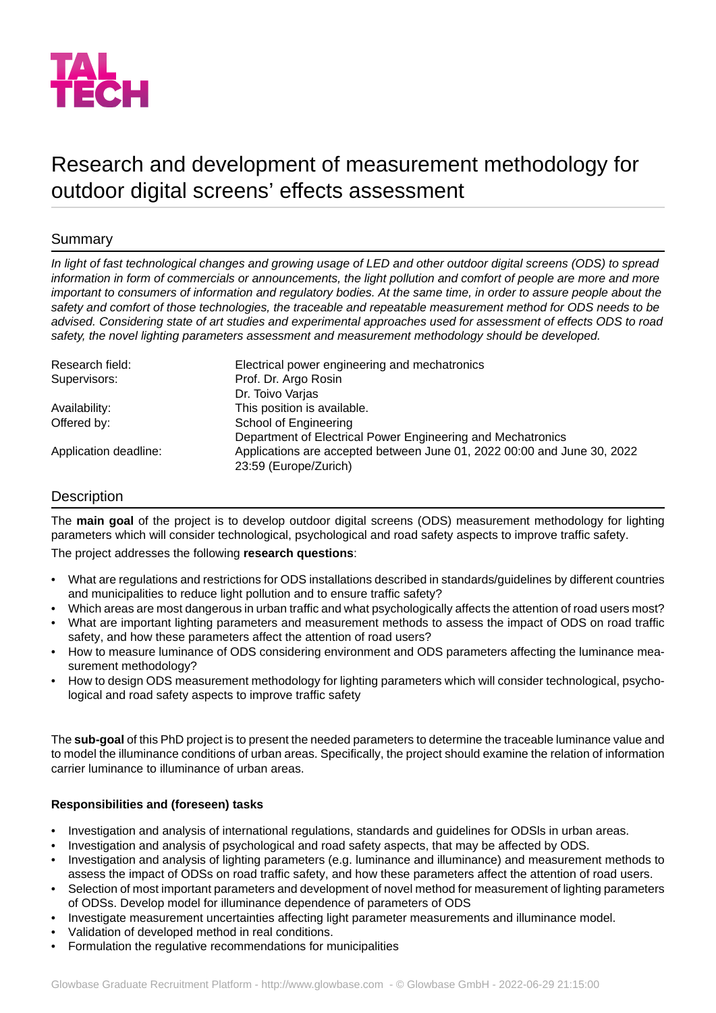

# Research and development of measurement methodology for outdoor digital screens' effects assessment

# Summary

*In light of fast technological changes and growing usage of LED and other outdoor digital screens (ODS) to spread information in form of commercials or announcements, the light pollution and comfort of people are more and more important to consumers of information and regulatory bodies. At the same time, in order to assure people about the safety and comfort of those technologies, the traceable and repeatable measurement method for ODS needs to be advised. Considering state of art studies and experimental approaches used for assessment of effects ODS to road safety, the novel lighting parameters assessment and measurement methodology should be developed.*

| Research field:       | Electrical power engineering and mechatronics                                                    |
|-----------------------|--------------------------------------------------------------------------------------------------|
| Supervisors:          | Prof. Dr. Argo Rosin                                                                             |
|                       | Dr. Toivo Varjas                                                                                 |
| Availability:         | This position is available.                                                                      |
| Offered by:           | School of Engineering                                                                            |
|                       | Department of Electrical Power Engineering and Mechatronics                                      |
| Application deadline: | Applications are accepted between June 01, 2022 00:00 and June 30, 2022<br>23:59 (Europe/Zurich) |

# Description

The **main goal** of the project is to develop outdoor digital screens (ODS) measurement methodology for lighting parameters which will consider technological, psychological and road safety aspects to improve traffic safety.

The project addresses the following **research questions**:

- What are regulations and restrictions for ODS installations described in standards/guidelines by different countries and municipalities to reduce light pollution and to ensure traffic safety?
- Which areas are most dangerous in urban traffic and what psychologically affects the attention of road users most?
- What are important lighting parameters and measurement methods to assess the impact of ODS on road traffic safety, and how these parameters affect the attention of road users?
- How to measure luminance of ODS considering environment and ODS parameters affecting the luminance measurement methodology?
- How to design ODS measurement methodology for lighting parameters which will consider technological, psychological and road safety aspects to improve traffic safety

The **sub-goal** of this PhD project is to present the needed parameters to determine the traceable luminance value and to model the illuminance conditions of urban areas. Specifically, the project should examine the relation of information carrier luminance to illuminance of urban areas.

# **Responsibilities and (foreseen) tasks**

- Investigation and analysis of international regulations, standards and guidelines for ODSls in urban areas.
- Investigation and analysis of psychological and road safety aspects, that may be affected by ODS.
- Investigation and analysis of lighting parameters (e.g. luminance and illuminance) and measurement methods to assess the impact of ODSs on road traffic safety, and how these parameters affect the attention of road users.
- Selection of most important parameters and development of novel method for measurement of lighting parameters of ODSs. Develop model for illuminance dependence of parameters of ODS
- Investigate measurement uncertainties affecting light parameter measurements and illuminance model.
- Validation of developed method in real conditions.
- Formulation the regulative recommendations for municipalities